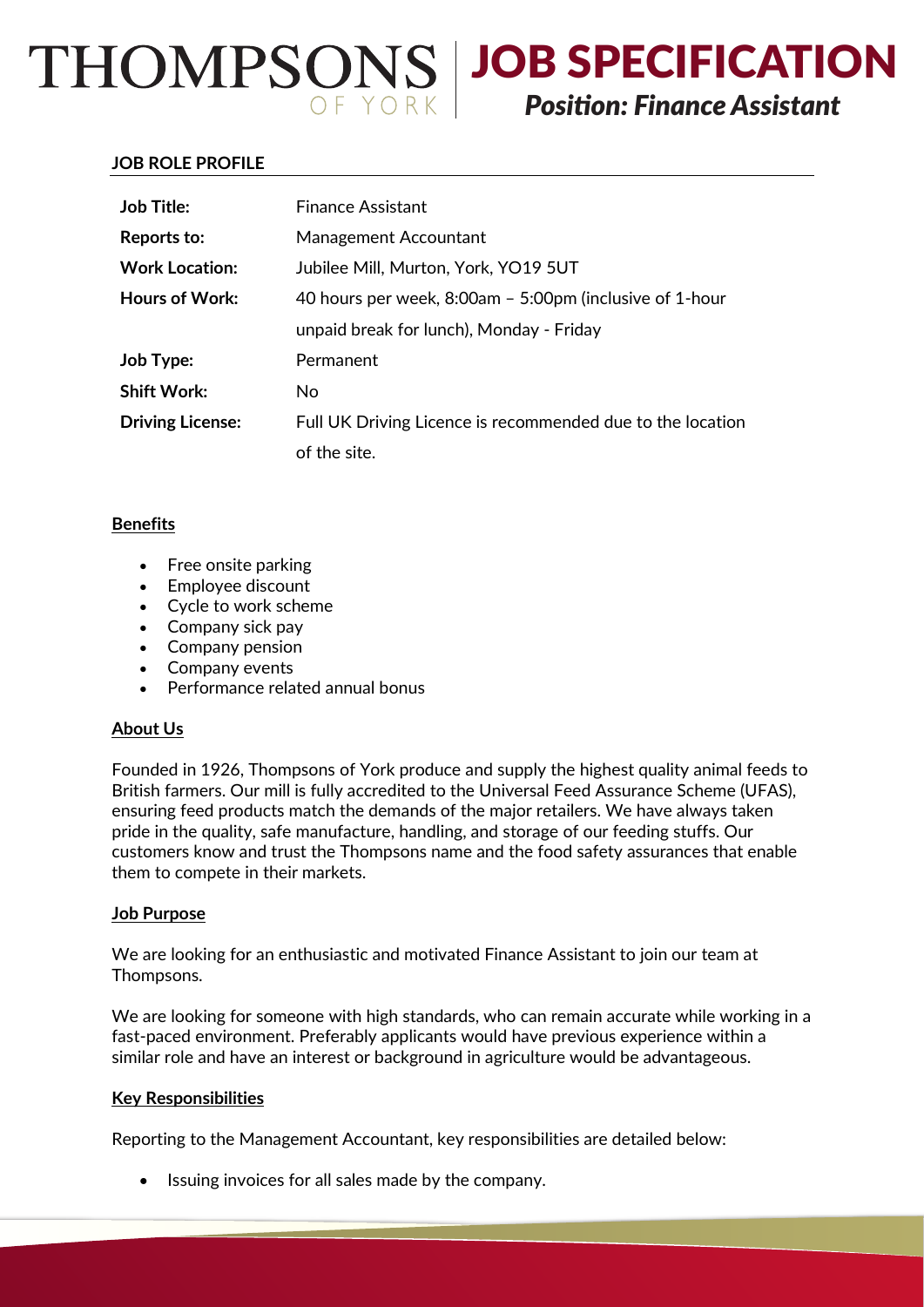JOB SPECIFICATION *Position: Finance Assistant*

### **JOB ROLE PROFILE**

| <b>Job Title:</b>       | <b>Finance Assistant</b>                                   |
|-------------------------|------------------------------------------------------------|
| Reports to:             | Management Accountant                                      |
| <b>Work Location:</b>   | Jubilee Mill, Murton, York, YO19 5UT                       |
| Hours of Work:          | 40 hours per week, 8:00am - 5:00pm (inclusive of 1-hour    |
|                         | unpaid break for lunch), Monday - Friday                   |
| Job Type:               | Permanent                                                  |
| <b>Shift Work:</b>      | No                                                         |
| <b>Driving License:</b> | Full UK Driving Licence is recommended due to the location |
|                         | of the site.                                               |

## **Benefits**

- $\bullet$  Free onsite parking
- Employee discount
- Cycle to work scheme
- Company sick pay
- Company pension
- Company events
- Performance related annual bonus

#### **About Us**

Founded in 1926, Thompsons of York produce and supply the highest quality animal feeds to British farmers. Our mill is fully accredited to the Universal Feed Assurance Scheme (UFAS), ensuring feed products match the demands of the major retailers. We have always taken pride in the quality, safe manufacture, handling, and storage of our feeding stuffs. Our customers know and trust the Thompsons name and the food safety assurances that enable them to compete in their markets.

#### **Job Purpose**

We are looking for an enthusiastic and motivated Finance Assistant to join our team at Thompsons.

We are looking for someone with high standards, who can remain accurate while working in a fast-paced environment. Preferably applicants would have previous experience within a similar role and have an interest or background in agriculture would be advantageous.

# **Key Responsibilities**

Reporting to the Management Accountant, key responsibilities are detailed below:

Issuing invoices for all sales made by the company.